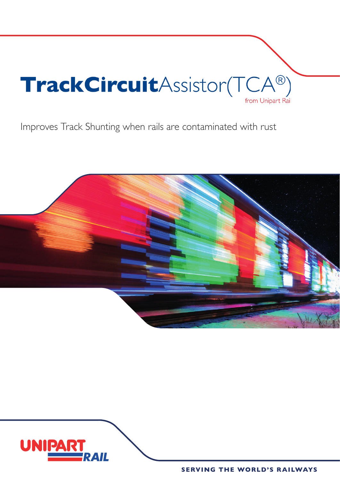

Improves Track Shunting when rails are contaminated with rust